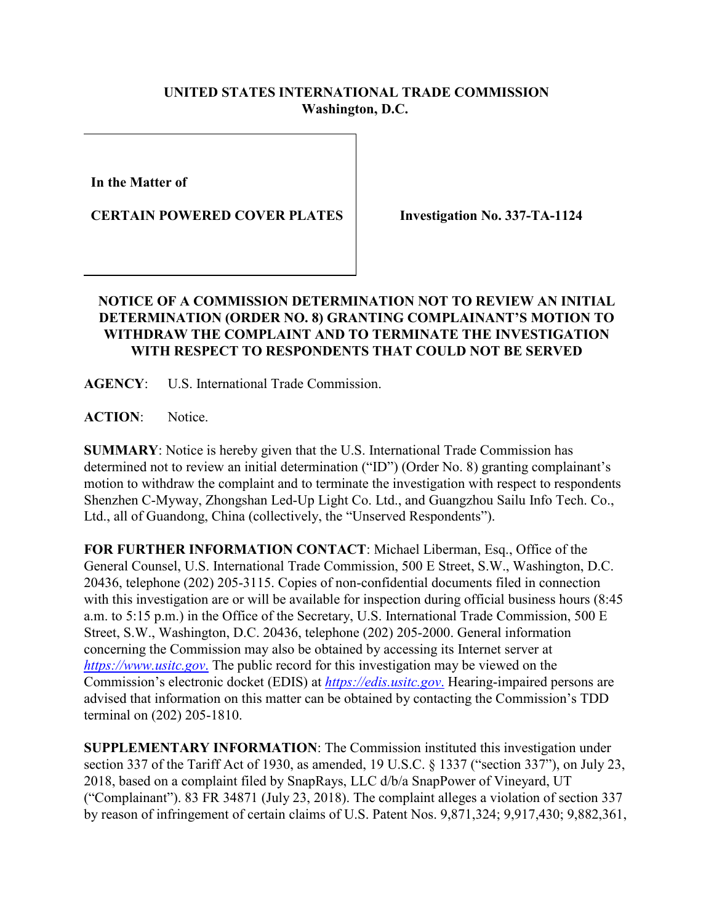## **UNITED STATES INTERNATIONAL TRADE COMMISSION Washington, D.C.**

**In the Matter of**

**CERTAIN POWERED COVER PLATES**

**Investigation No. 337-TA-1124**

## **NOTICE OF A COMMISSION DETERMINATION NOT TO REVIEW AN INITIAL DETERMINATION (ORDER NO. 8) GRANTING COMPLAINANT'S MOTION TO WITHDRAW THE COMPLAINT AND TO TERMINATE THE INVESTIGATION WITH RESPECT TO RESPONDENTS THAT COULD NOT BE SERVED**

**AGENCY**: U.S. International Trade Commission.

**ACTION**: Notice.

**SUMMARY**: Notice is hereby given that the U.S. International Trade Commission has determined not to review an initial determination ("ID") (Order No. 8) granting complainant's motion to withdraw the complaint and to terminate the investigation with respect to respondents Shenzhen C-Myway, Zhongshan Led-Up Light Co. Ltd., and Guangzhou Sailu Info Tech. Co., Ltd., all of Guandong, China (collectively, the "Unserved Respondents").

**FOR FURTHER INFORMATION CONTACT**: Michael Liberman, Esq., Office of the General Counsel, U.S. International Trade Commission, 500 E Street, S.W., Washington, D.C. 20436, telephone (202) 205-3115. Copies of non-confidential documents filed in connection with this investigation are or will be available for inspection during official business hours (8:45 a.m. to 5:15 p.m.) in the Office of the Secretary, U.S. International Trade Commission, 500 E Street, S.W., Washington, D.C. 20436, telephone (202) 205-2000. General information concerning the Commission may also be obtained by accessing its Internet server at *[https://www.usitc.gov](https://www.usitc.gov./)*. The public record for this investigation may be viewed on the Commission's electronic docket (EDIS) at *[https://edis.usitc.gov](https://edis.usitc.gov./)*. Hearing-impaired persons are advised that information on this matter can be obtained by contacting the Commission's TDD terminal on (202) 205-1810.

**SUPPLEMENTARY INFORMATION**: The Commission instituted this investigation under section 337 of the Tariff Act of 1930, as amended, 19 U.S.C. § 1337 ("section 337"), on July 23, 2018, based on a complaint filed by SnapRays, LLC d/b/a SnapPower of Vineyard, UT ("Complainant"). 83 FR 34871 (July 23, 2018). The complaint alleges a violation of section 337 by reason of infringement of certain claims of U.S. Patent Nos. 9,871,324; 9,917,430; 9,882,361,